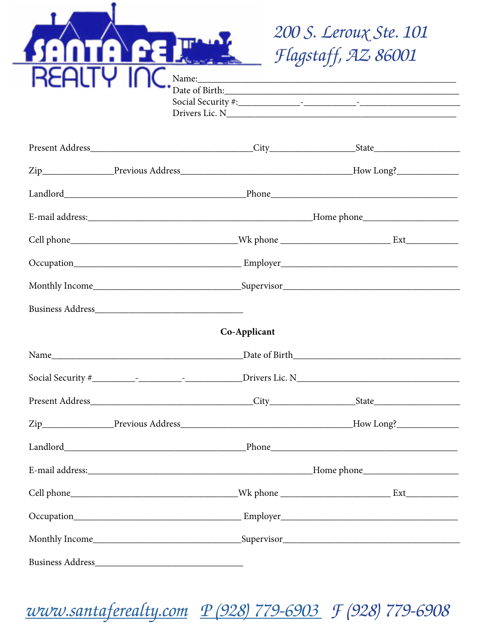|      |               | 200 S. Leroux Ste. 101<br>Flagstaff, AZ 86001 |  |
|------|---------------|-----------------------------------------------|--|
|      |               |                                               |  |
|      |               |                                               |  |
|      |               |                                               |  |
|      |               |                                               |  |
|      |               |                                               |  |
|      |               |                                               |  |
|      |               |                                               |  |
|      |               |                                               |  |
|      | Co-Applicant  |                                               |  |
| Name | Date of Birth |                                               |  |
|      |               |                                               |  |
|      |               |                                               |  |
|      |               |                                               |  |
|      |               |                                               |  |
|      |               |                                               |  |
|      |               |                                               |  |
|      |               |                                               |  |
|      |               |                                               |  |
|      |               |                                               |  |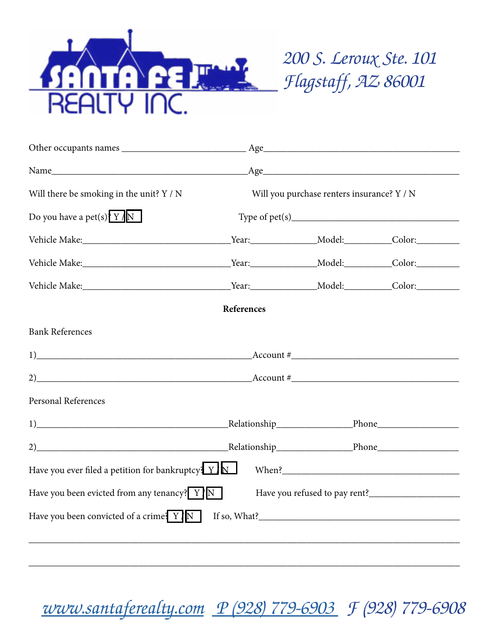

*200 S. Leroux Ste. 101 Flagstaff, AZ 86001*

|                                                                                                                                                                                                                                                                                                                        |            |                                            | Age                                                            |
|------------------------------------------------------------------------------------------------------------------------------------------------------------------------------------------------------------------------------------------------------------------------------------------------------------------------|------------|--------------------------------------------|----------------------------------------------------------------|
| Will there be smoking in the unit? $Y / N$                                                                                                                                                                                                                                                                             |            | Will you purchase renters insurance? Y / N |                                                                |
| Do you have a pet(s) $Y/N$                                                                                                                                                                                                                                                                                             |            |                                            |                                                                |
|                                                                                                                                                                                                                                                                                                                        |            |                                            | _Year:____________________Model:____________Color:____________ |
| Vehicle Make: Color: Color: Color: Color: Color: Color: Color: Color: Color: Color: Color: Color: Color: Color: Color: Color: Color: Color: Color: Color: Color: Color: Color: Color: Color: Color: Color: Color: Color: Color                                                                                         |            |                                            |                                                                |
| Vehicle Make: Color: Color: Color: Color: Color: Color: Color: Color: Color: Color: Color: Color: Color: Color: Color: Color: Color: Color: Color: Color: Color: Color: Color: Color: Color: Color: Color: Color: Color: Color                                                                                         |            |                                            |                                                                |
|                                                                                                                                                                                                                                                                                                                        | References |                                            |                                                                |
| <b>Bank References</b>                                                                                                                                                                                                                                                                                                 |            |                                            |                                                                |
| $1)$ Account #                                                                                                                                                                                                                                                                                                         |            |                                            |                                                                |
| 2) $\frac{1}{2}$ $\frac{1}{2}$ $\frac{1}{2}$ $\frac{1}{2}$ $\frac{1}{2}$ $\frac{1}{2}$ $\frac{1}{2}$ $\frac{1}{2}$ $\frac{1}{2}$ $\frac{1}{2}$ $\frac{1}{2}$ $\frac{1}{2}$ $\frac{1}{2}$ $\frac{1}{2}$ $\frac{1}{2}$ $\frac{1}{2}$ $\frac{1}{2}$ $\frac{1}{2}$ $\frac{1}{2}$ $\frac{1}{2}$ $\frac{1}{2}$ $\frac{1}{2}$ |            |                                            |                                                                |
| Personal References                                                                                                                                                                                                                                                                                                    |            |                                            |                                                                |
|                                                                                                                                                                                                                                                                                                                        |            |                                            |                                                                |
|                                                                                                                                                                                                                                                                                                                        |            |                                            |                                                                |
| Have you ever filed a petition for bankruptcy $\frac{Y}{N}$                                                                                                                                                                                                                                                            |            |                                            |                                                                |
| Have you been evicted from any tenancy? $\boxed{Y}$ $\boxed{N}$                                                                                                                                                                                                                                                        |            |                                            |                                                                |
| Have you been convicted of a crime! $\overline{Y}$ $\overline{N}$                                                                                                                                                                                                                                                      |            |                                            | If so, What?                                                   |
|                                                                                                                                                                                                                                                                                                                        |            |                                            |                                                                |

 *[www.santaferealty.com](http://www.santaferealty.com) [P \(928\) 779-6903](tel:(928)779-6903) F (928) 779-6908*

\_\_\_\_\_\_\_\_\_\_\_\_\_\_\_\_\_\_\_\_\_\_\_\_\_\_\_\_\_\_\_\_\_\_\_\_\_\_\_\_\_\_\_\_\_\_\_\_\_\_\_\_\_\_\_\_\_\_\_\_\_\_\_\_\_\_\_\_\_\_\_\_\_\_\_\_\_\_\_\_\_\_\_\_\_\_\_\_\_\_